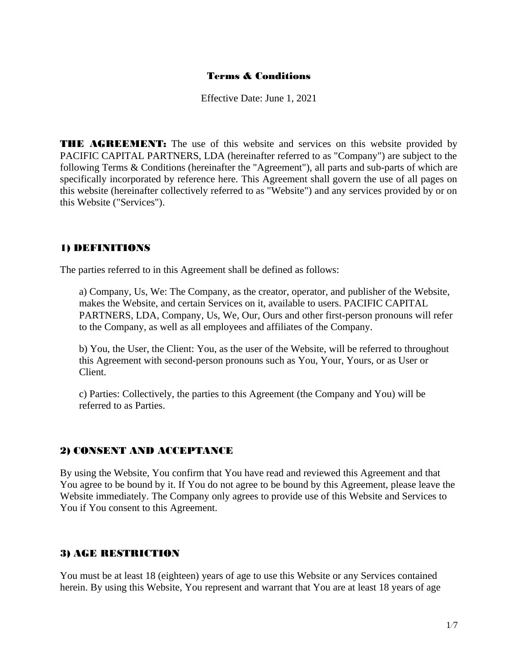#### Terms & Conditions

Effective Date: June 1, 2021

**THE AGREEMENT:** The use of this website and services on this website provided by PACIFIC CAPITAL PARTNERS, LDA (hereinafter referred to as "Company") are subject to the following Terms & Conditions (hereinafter the "Agreement"), all parts and sub-parts of which are specifically incorporated by reference here. This Agreement shall govern the use of all pages on this website (hereinafter collectively referred to as "Website") and any services provided by or on this Website ("Services").

#### 1) DEFINITIONS

The parties referred to in this Agreement shall be defined as follows:

a) Company, Us, We: The Company, as the creator, operator, and publisher of the Website, makes the Website, and certain Services on it, available to users. PACIFIC CAPITAL PARTNERS, LDA, Company, Us, We, Our, Ours and other first-person pronouns will refer to the Company, as well as all employees and affiliates of the Company.

b) You, the User, the Client: You, as the user of the Website, will be referred to throughout this Agreement with second-person pronouns such as You, Your, Yours, or as User or Client.

c) Parties: Collectively, the parties to this Agreement (the Company and You) will be referred to as Parties.

#### 2) CONSENT AND ACCEPTANCE

By using the Website, You confirm that You have read and reviewed this Agreement and that You agree to be bound by it. If You do not agree to be bound by this Agreement, please leave the Website immediately. The Company only agrees to provide use of this Website and Services to You if You consent to this Agreement.

#### 3) AGE RESTRICTION

You must be at least 18 (eighteen) years of age to use this Website or any Services contained herein. By using this Website, You represent and warrant that You are at least 18 years of age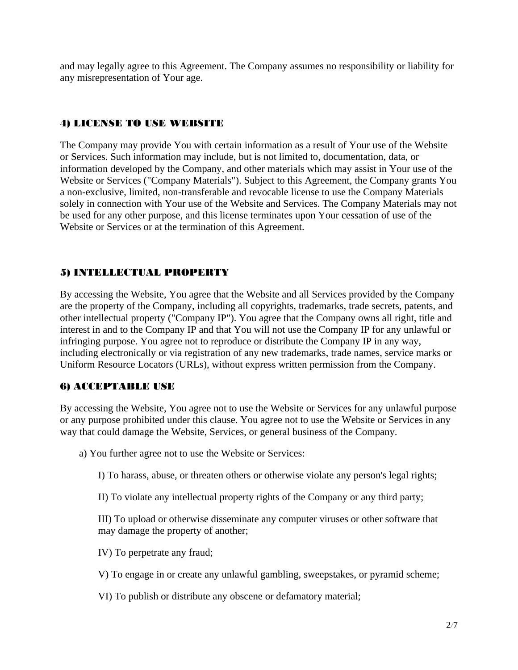and may legally agree to this Agreement. The Company assumes no responsibility or liability for any misrepresentation of Your age.

### 4) LICENSE TO USE WEBSITE

The Company may provide You with certain information as a result of Your use of the Website or Services. Such information may include, but is not limited to, documentation, data, or information developed by the Company, and other materials which may assist in Your use of the Website or Services ("Company Materials"). Subject to this Agreement, the Company grants You a non-exclusive, limited, non-transferable and revocable license to use the Company Materials solely in connection with Your use of the Website and Services. The Company Materials may not be used for any other purpose, and this license terminates upon Your cessation of use of the Website or Services or at the termination of this Agreement.

## 5) INTELLECTUAL PROPERTY

By accessing the Website, You agree that the Website and all Services provided by the Company are the property of the Company, including all copyrights, trademarks, trade secrets, patents, and other intellectual property ("Company IP"). You agree that the Company owns all right, title and interest in and to the Company IP and that You will not use the Company IP for any unlawful or infringing purpose. You agree not to reproduce or distribute the Company IP in any way, including electronically or via registration of any new trademarks, trade names, service marks or Uniform Resource Locators (URLs), without express written permission from the Company.

## 6) ACCEPTABLE USE

By accessing the Website, You agree not to use the Website or Services for any unlawful purpose or any purpose prohibited under this clause. You agree not to use the Website or Services in any way that could damage the Website, Services, or general business of the Company.

a) You further agree not to use the Website or Services:

I) To harass, abuse, or threaten others or otherwise violate any person's legal rights;

II) To violate any intellectual property rights of the Company or any third party;

III) To upload or otherwise disseminate any computer viruses or other software that may damage the property of another;

IV) To perpetrate any fraud;

V) To engage in or create any unlawful gambling, sweepstakes, or pyramid scheme;

VI) To publish or distribute any obscene or defamatory material;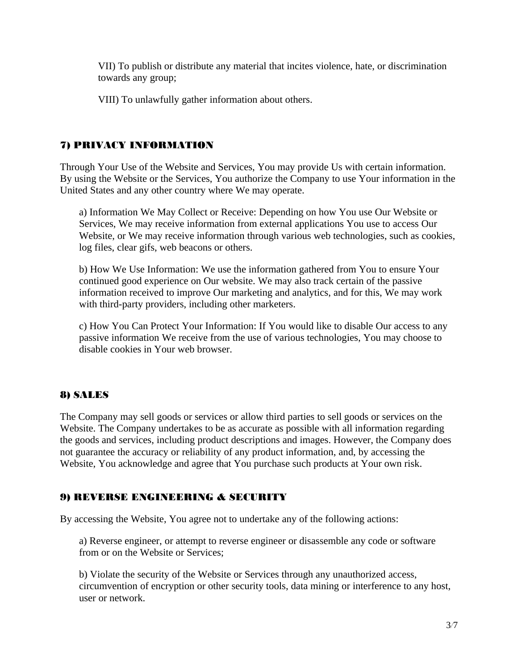VII) To publish or distribute any material that incites violence, hate, or discrimination towards any group;

VIII) To unlawfully gather information about others.

# 7) PRIVACY INFORMATION

Through Your Use of the Website and Services, You may provide Us with certain information. By using the Website or the Services, You authorize the Company to use Your information in the United States and any other country where We may operate.

a) Information We May Collect or Receive: Depending on how You use Our Website or Services, We may receive information from external applications You use to access Our Website, or We may receive information through various web technologies, such as cookies, log files, clear gifs, web beacons or others.

b) How We Use Information: We use the information gathered from You to ensure Your continued good experience on Our website. We may also track certain of the passive information received to improve Our marketing and analytics, and for this, We may work with third-party providers, including other marketers.

c) How You Can Protect Your Information: If You would like to disable Our access to any passive information We receive from the use of various technologies, You may choose to disable cookies in Your web browser.

# 8) SALES

The Company may sell goods or services or allow third parties to sell goods or services on the Website. The Company undertakes to be as accurate as possible with all information regarding the goods and services, including product descriptions and images. However, the Company does not guarantee the accuracy or reliability of any product information, and, by accessing the Website, You acknowledge and agree that You purchase such products at Your own risk.

# 9) REVERSE ENGINEERING & SECURITY

By accessing the Website, You agree not to undertake any of the following actions:

a) Reverse engineer, or attempt to reverse engineer or disassemble any code or software from or on the Website or Services;

b) Violate the security of the Website or Services through any unauthorized access, circumvention of encryption or other security tools, data mining or interference to any host, user or network.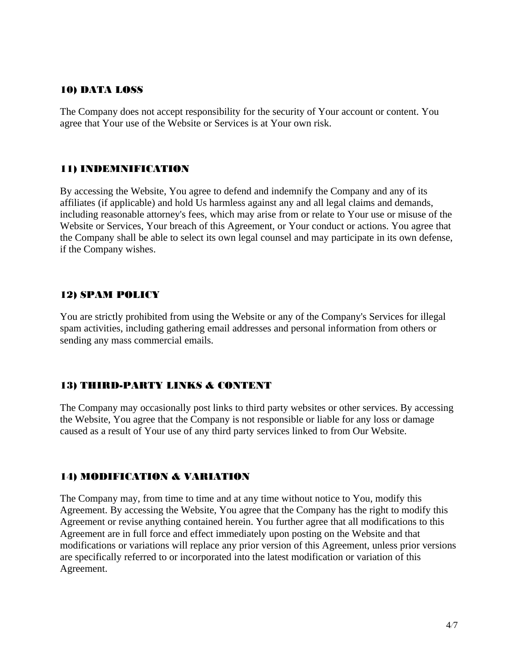#### 10) DATA LOSS

The Company does not accept responsibility for the security of Your account or content. You agree that Your use of the Website or Services is at Your own risk.

#### 11) INDEMNIFICATION

By accessing the Website, You agree to defend and indemnify the Company and any of its affiliates (if applicable) and hold Us harmless against any and all legal claims and demands, including reasonable attorney's fees, which may arise from or relate to Your use or misuse of the Website or Services, Your breach of this Agreement, or Your conduct or actions. You agree that the Company shall be able to select its own legal counsel and may participate in its own defense, if the Company wishes.

#### 12) SPAM POLICY

You are strictly prohibited from using the Website or any of the Company's Services for illegal spam activities, including gathering email addresses and personal information from others or sending any mass commercial emails.

## 13) THIRD-PARTY LINKS & CONTENT

The Company may occasionally post links to third party websites or other services. By accessing the Website, You agree that the Company is not responsible or liable for any loss or damage caused as a result of Your use of any third party services linked to from Our Website.

## 14) MODIFICATION & VARIATION

The Company may, from time to time and at any time without notice to You, modify this Agreement. By accessing the Website, You agree that the Company has the right to modify this Agreement or revise anything contained herein. You further agree that all modifications to this Agreement are in full force and effect immediately upon posting on the Website and that modifications or variations will replace any prior version of this Agreement, unless prior versions are specifically referred to or incorporated into the latest modification or variation of this Agreement.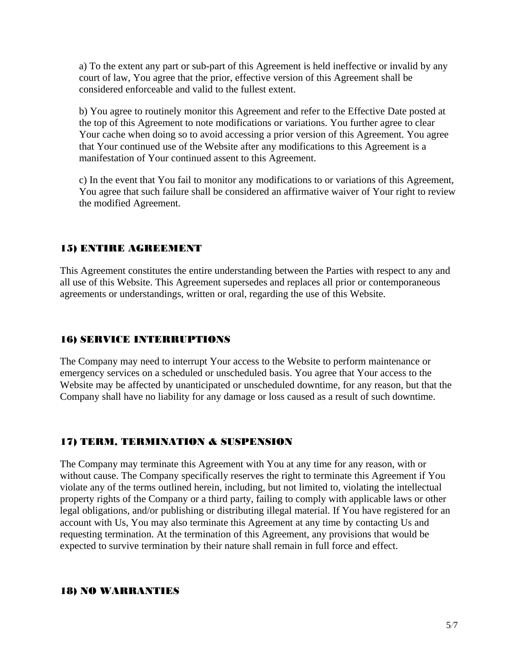a) To the extent any part or sub-part of this Agreement is held ineffective or invalid by any court of law, You agree that the prior, effective version of this Agreement shall be considered enforceable and valid to the fullest extent.

b) You agree to routinely monitor this Agreement and refer to the Effective Date posted at the top of this Agreement to note modifications or variations. You further agree to clear Your cache when doing so to avoid accessing a prior version of this Agreement. You agree that Your continued use of the Website after any modifications to this Agreement is a manifestation of Your continued assent to this Agreement.

c) In the event that You fail to monitor any modifications to or variations of this Agreement, You agree that such failure shall be considered an affirmative waiver of Your right to review the modified Agreement.

## 15) ENTIRE AGREEMENT

This Agreement constitutes the entire understanding between the Parties with respect to any and all use of this Website. This Agreement supersedes and replaces all prior or contemporaneous agreements or understandings, written or oral, regarding the use of this Website.

### 16) SERVICE INTERRUPTIONS

The Company may need to interrupt Your access to the Website to perform maintenance or emergency services on a scheduled or unscheduled basis. You agree that Your access to the Website may be affected by unanticipated or unscheduled downtime, for any reason, but that the Company shall have no liability for any damage or loss caused as a result of such downtime.

## 17) TERM, TERMINATION & SUSPENSION

The Company may terminate this Agreement with You at any time for any reason, with or without cause. The Company specifically reserves the right to terminate this Agreement if You violate any of the terms outlined herein, including, but not limited to, violating the intellectual property rights of the Company or a third party, failing to comply with applicable laws or other legal obligations, and/or publishing or distributing illegal material. If You have registered for an account with Us, You may also terminate this Agreement at any time by contacting Us and requesting termination. At the termination of this Agreement, any provisions that would be expected to survive termination by their nature shall remain in full force and effect.

#### 18) NO WARRANTIES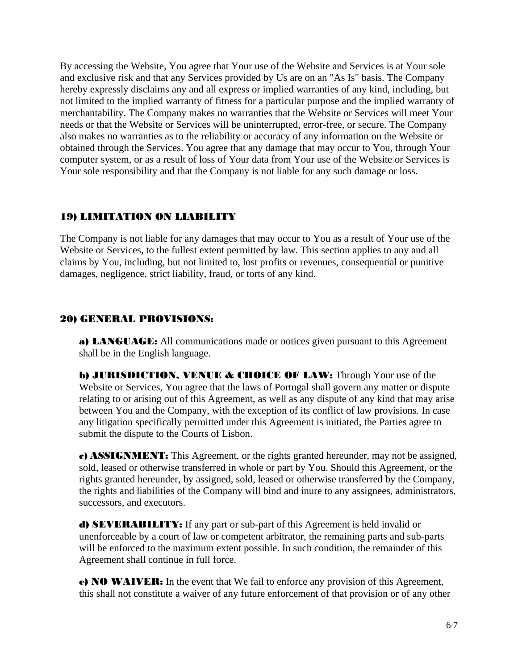By accessing the Website, You agree that Your use of the Website and Services is at Your sole and exclusive risk and that any Services provided by Us are on an "As Is" basis. The Company hereby expressly disclaims any and all express or implied warranties of any kind, including, but not limited to the implied warranty of fitness for a particular purpose and the implied warranty of merchantability. The Company makes no warranties that the Website or Services will meet Your needs or that the Website or Services will be uninterrupted, error-free, or secure. The Company also makes no warranties as to the reliability or accuracy of any information on the Website or obtained through the Services. You agree that any damage that may occur to You, through Your computer system, or as a result of loss of Your data from Your use of the Website or Services is Your sole responsibility and that the Company is not liable for any such damage or loss.

#### 19) LIMITATION ON LIABILITY

The Company is not liable for any damages that may occur to You as a result of Your use of the Website or Services, to the fullest extent permitted by law. This section applies to any and all claims by You, including, but not limited to, lost profits or revenues, consequential or punitive damages, negligence, strict liability, fraud, or torts of any kind.

#### 20) GENERAL PROVISIONS:

a) LANGUAGE: All communications made or notices given pursuant to this Agreement shall be in the English language.

**b) JURISDICTION, VENUE & CHOICE OF LAW:** Through Your use of the Website or Services, You agree that the laws of Portugal shall govern any matter or dispute relating to or arising out of this Agreement, as well as any dispute of any kind that may arise between You and the Company, with the exception of its conflict of law provisions. In case any litigation specifically permitted under this Agreement is initiated, the Parties agree to submit the dispute to the Courts of Lisbon.

c) ASSIGNMENT: This Agreement, or the rights granted hereunder, may not be assigned, sold, leased or otherwise transferred in whole or part by You. Should this Agreement, or the rights granted hereunder, by assigned, sold, leased or otherwise transferred by the Company, the rights and liabilities of the Company will bind and inure to any assignees, administrators, successors, and executors.

d) SEVERABILITY: If any part or sub-part of this Agreement is held invalid or unenforceable by a court of law or competent arbitrator, the remaining parts and sub-parts will be enforced to the maximum extent possible. In such condition, the remainder of this Agreement shall continue in full force.

e) NO WAIVER: In the event that We fail to enforce any provision of this Agreement, this shall not constitute a waiver of any future enforcement of that provision or of any other